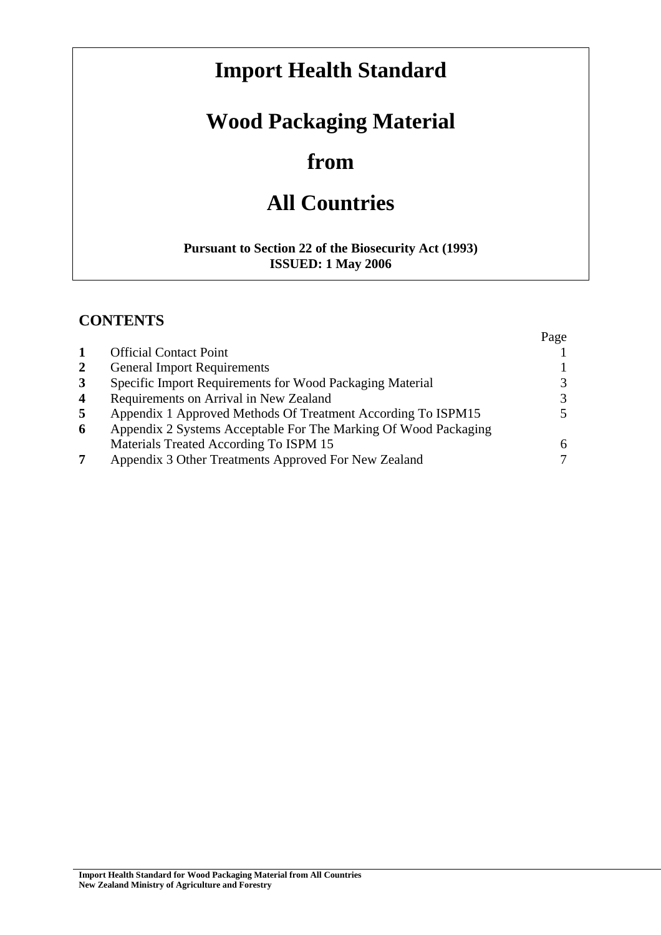# **Import Health Standard**

# **Wood Packaging Material**

# **from**

# **All Countries**

#### **Pursuant to Section 22 of the Biosecurity Act (1993) ISSUED: 1 May 2006**

## **CONTENTS**

|                |                                                                 | Page          |
|----------------|-----------------------------------------------------------------|---------------|
|                | <b>Official Contact Point</b>                                   |               |
| $\overline{2}$ | <b>General Import Requirements</b>                              |               |
| $\mathbf{3}$   | Specific Import Requirements for Wood Packaging Material        | 3             |
| $\overline{4}$ | Requirements on Arrival in New Zealand                          | $\mathcal{F}$ |
| 5              | Appendix 1 Approved Methods Of Treatment According To ISPM15    | 5.            |
| 6              | Appendix 2 Systems Acceptable For The Marking Of Wood Packaging |               |
|                | Materials Treated According To ISPM 15                          | 6             |
| 7              | Appendix 3 Other Treatments Approved For New Zealand            |               |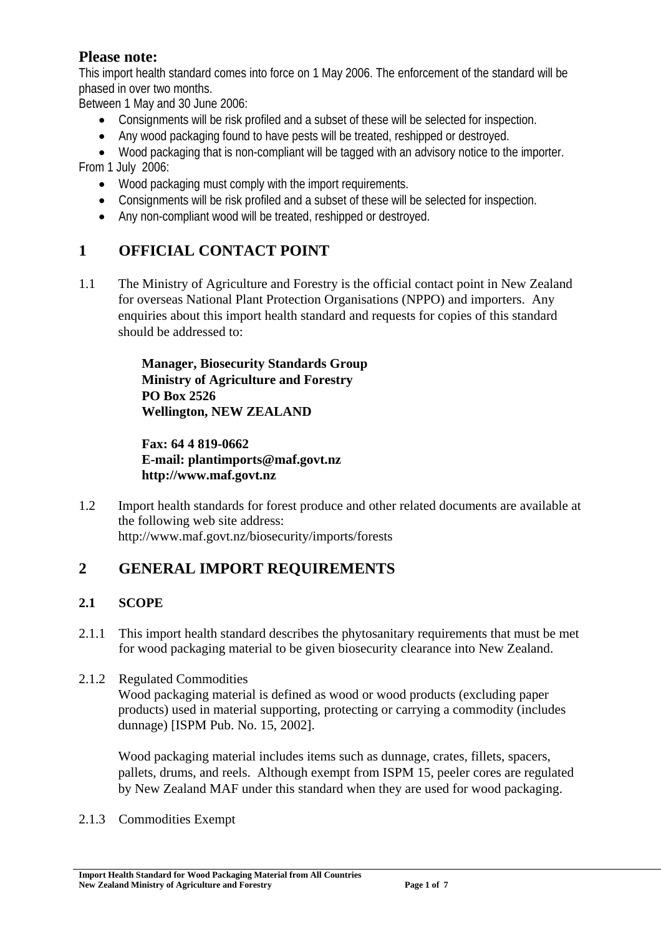## **Please note:**

This import health standard comes into force on 1 May 2006. The enforcement of the standard will be phased in over two months.

Between 1 May and 30 June 2006:

- Consignments will be risk profiled and a subset of these will be selected for inspection.
- Any wood packaging found to have pests will be treated, reshipped or destroyed.
- Wood packaging that is non-compliant will be tagged with an advisory notice to the importer.

From 1 July 2006:

- Wood packaging must comply with the import requirements.
- Consignments will be risk profiled and a subset of these will be selected for inspection.
- Any non-compliant wood will be treated, reshipped or destroyed.

# **1 OFFICIAL CONTACT POINT**

1.1 The Ministry of Agriculture and Forestry is the official contact point in New Zealand for overseas National Plant Protection Organisations (NPPO) and importers. Any enquiries about this import health standard and requests for copies of this standard should be addressed to:

> **Manager, Biosecurity Standards Group Ministry of Agriculture and Forestry PO Box 2526 Wellington, NEW ZEALAND**

**Fax: 64 4 819-0662 E-mail: plantimports@maf.govt.nz http://www.maf.govt.nz** 

1.2 Import health standards for forest produce and other related documents are available at the following web site address: http://www.maf.govt.nz/biosecurity/imports/forests

# **2 GENERAL IMPORT REQUIREMENTS**

## **2.1 SCOPE**

- 2.1.1 This import health standard describes the phytosanitary requirements that must be met for wood packaging material to be given biosecurity clearance into New Zealand.
- 2.1.2 Regulated Commodities Wood packaging material is defined as wood or wood products (excluding paper products) used in material supporting, protecting or carrying a commodity (includes dunnage) [ISPM Pub. No. 15, 2002].

Wood packaging material includes items such as dunnage, crates, fillets, spacers, pallets, drums, and reels. Although exempt from ISPM 15, peeler cores are regulated by New Zealand MAF under this standard when they are used for wood packaging.

2.1.3 Commodities Exempt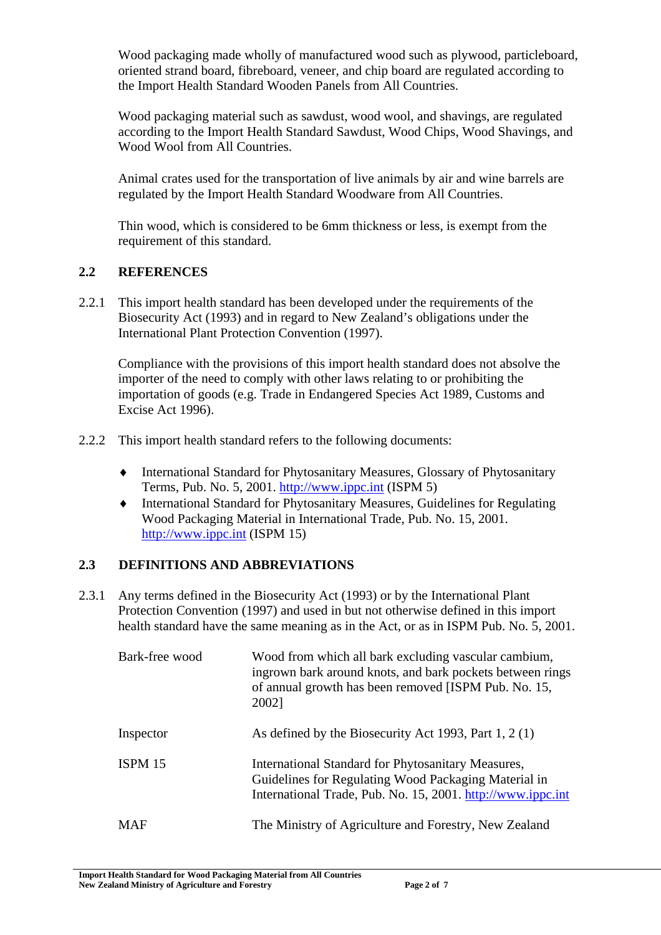Wood packaging made wholly of manufactured wood such as plywood, particleboard, oriented strand board, fibreboard, veneer, and chip board are regulated according to the Import Health Standard Wooden Panels from All Countries.

Wood packaging material such as sawdust, wood wool, and shavings, are regulated according to the Import Health Standard Sawdust, Wood Chips, Wood Shavings, and Wood Wool from All Countries.

Animal crates used for the transportation of live animals by air and wine barrels are regulated by the Import Health Standard Woodware from All Countries.

Thin wood, which is considered to be 6mm thickness or less, is exempt from the requirement of this standard.

### **2.2 REFERENCES**

2.2.1 This import health standard has been developed under the requirements of the Biosecurity Act (1993) and in regard to New Zealand's obligations under the International Plant Protection Convention (1997).

Compliance with the provisions of this import health standard does not absolve the importer of the need to comply with other laws relating to or prohibiting the importation of goods (e.g. Trade in Endangered Species Act 1989, Customs and Excise Act 1996).

- 2.2.2 This import health standard refers to the following documents:
	- ♦ International Standard for Phytosanitary Measures, Glossary of Phytosanitary Terms, Pub. No. 5, 2001. http://www.ippc.int (ISPM 5)
	- ♦ International Standard for Phytosanitary Measures, Guidelines for Regulating Wood Packaging Material in International Trade, Pub. No. 15, 2001. http://www.ippc.int (ISPM 15)

## **2.3 DEFINITIONS AND ABBREVIATIONS**

2.3.1 Any terms defined in the Biosecurity Act (1993) or by the International Plant Protection Convention (1997) and used in but not otherwise defined in this import health standard have the same meaning as in the Act, or as in ISPM Pub. No. 5, 2001.

| Bark-free wood | Wood from which all bark excluding vascular cambium,<br>ingrown bark around knots, and bark pockets between rings<br>of annual growth has been removed [ISPM Pub. No. 15,<br>2002] |
|----------------|------------------------------------------------------------------------------------------------------------------------------------------------------------------------------------|
| Inspector      | As defined by the Biosecurity Act 1993, Part $1, 2(1)$                                                                                                                             |
| ISPM 15        | International Standard for Phytosanitary Measures,<br>Guidelines for Regulating Wood Packaging Material in<br>International Trade, Pub. No. 15, 2001. http://www.ippc.int          |
| <b>MAF</b>     | The Ministry of Agriculture and Forestry, New Zealand                                                                                                                              |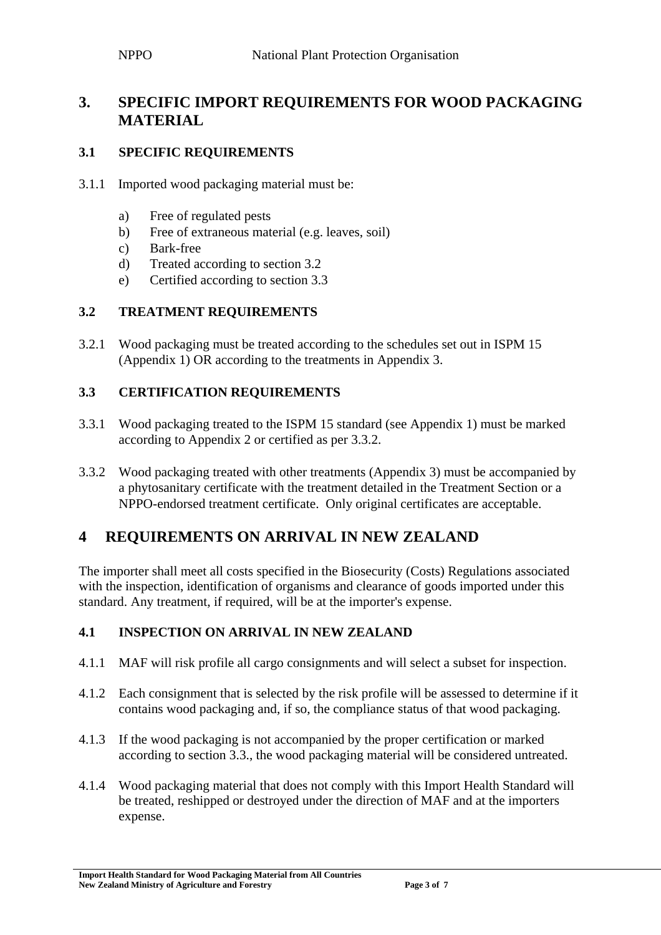# **3. SPECIFIC IMPORT REQUIREMENTS FOR WOOD PACKAGING MATERIAL**

## **3.1 SPECIFIC REQUIREMENTS**

- 3.1.1 Imported wood packaging material must be:
	- a) Free of regulated pests
	- b) Free of extraneous material (e.g. leaves, soil)
	- c) Bark-free
	- d) Treated according to section 3.2
	- e) Certified according to section 3.3

### **3.2 TREATMENT REQUIREMENTS**

3.2.1 Wood packaging must be treated according to the schedules set out in ISPM 15 (Appendix 1) OR according to the treatments in Appendix 3.

### **3.3 CERTIFICATION REQUIREMENTS**

- 3.3.1 Wood packaging treated to the ISPM 15 standard (see Appendix 1) must be marked according to Appendix 2 or certified as per 3.3.2.
- 3.3.2 Wood packaging treated with other treatments (Appendix 3) must be accompanied by a phytosanitary certificate with the treatment detailed in the Treatment Section or a NPPO-endorsed treatment certificate. Only original certificates are acceptable.

# **4 REQUIREMENTS ON ARRIVAL IN NEW ZEALAND**

The importer shall meet all costs specified in the Biosecurity (Costs) Regulations associated with the inspection, identification of organisms and clearance of goods imported under this standard. Any treatment, if required, will be at the importer's expense.

#### **4.1 INSPECTION ON ARRIVAL IN NEW ZEALAND**

- 4.1.1 MAF will risk profile all cargo consignments and will select a subset for inspection.
- 4.1.2 Each consignment that is selected by the risk profile will be assessed to determine if it contains wood packaging and, if so, the compliance status of that wood packaging.
- 4.1.3 If the wood packaging is not accompanied by the proper certification or marked according to section 3.3., the wood packaging material will be considered untreated.
- 4.1.4 Wood packaging material that does not comply with this Import Health Standard will be treated, reshipped or destroyed under the direction of MAF and at the importers expense.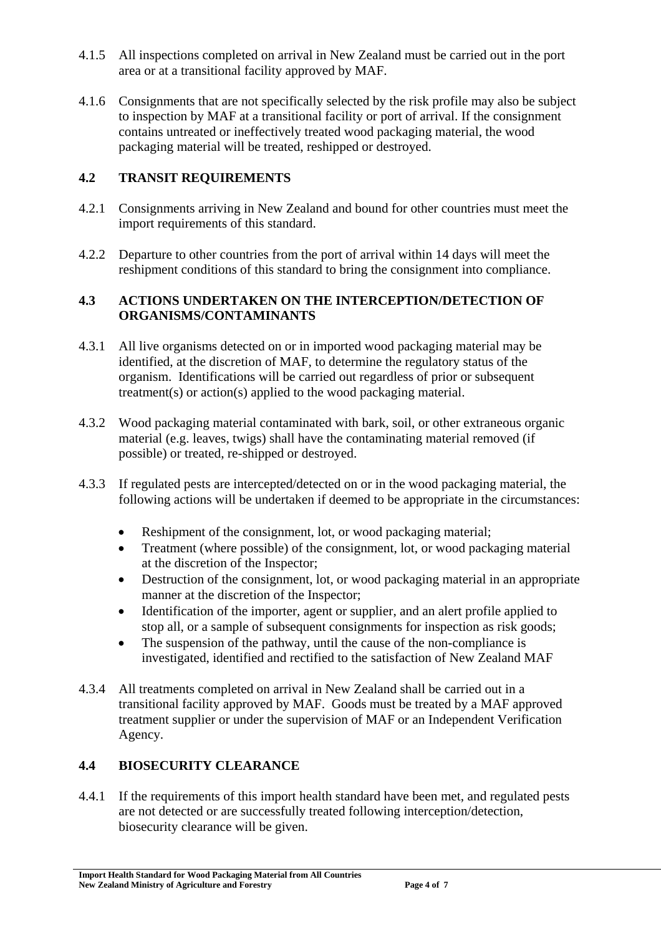- 4.1.5 All inspections completed on arrival in New Zealand must be carried out in the port area or at a transitional facility approved by MAF.
- 4.1.6 Consignments that are not specifically selected by the risk profile may also be subject to inspection by MAF at a transitional facility or port of arrival. If the consignment contains untreated or ineffectively treated wood packaging material, the wood packaging material will be treated, reshipped or destroyed.

## **4.2 TRANSIT REQUIREMENTS**

- 4.2.1 Consignments arriving in New Zealand and bound for other countries must meet the import requirements of this standard.
- 4.2.2 Departure to other countries from the port of arrival within 14 days will meet the reshipment conditions of this standard to bring the consignment into compliance.

### **4.3 ACTIONS UNDERTAKEN ON THE INTERCEPTION/DETECTION OF ORGANISMS/CONTAMINANTS**

- 4.3.1 All live organisms detected on or in imported wood packaging material may be identified, at the discretion of MAF, to determine the regulatory status of the organism. Identifications will be carried out regardless of prior or subsequent treatment(s) or action(s) applied to the wood packaging material.
- 4.3.2 Wood packaging material contaminated with bark, soil, or other extraneous organic material (e.g. leaves, twigs) shall have the contaminating material removed (if possible) or treated, re-shipped or destroyed.
- 4.3.3 If regulated pests are intercepted/detected on or in the wood packaging material, the following actions will be undertaken if deemed to be appropriate in the circumstances:
	- Reshipment of the consignment, lot, or wood packaging material;
	- Treatment (where possible) of the consignment, lot, or wood packaging material at the discretion of the Inspector;
	- Destruction of the consignment, lot, or wood packaging material in an appropriate manner at the discretion of the Inspector;
	- Identification of the importer, agent or supplier, and an alert profile applied to stop all, or a sample of subsequent consignments for inspection as risk goods;
	- The suspension of the pathway, until the cause of the non-compliance is investigated, identified and rectified to the satisfaction of New Zealand MAF
- 4.3.4 All treatments completed on arrival in New Zealand shall be carried out in a transitional facility approved by MAF. Goods must be treated by a MAF approved treatment supplier or under the supervision of MAF or an Independent Verification Agency.

## **4.4 BIOSECURITY CLEARANCE**

4.4.1 If the requirements of this import health standard have been met, and regulated pests are not detected or are successfully treated following interception/detection, biosecurity clearance will be given.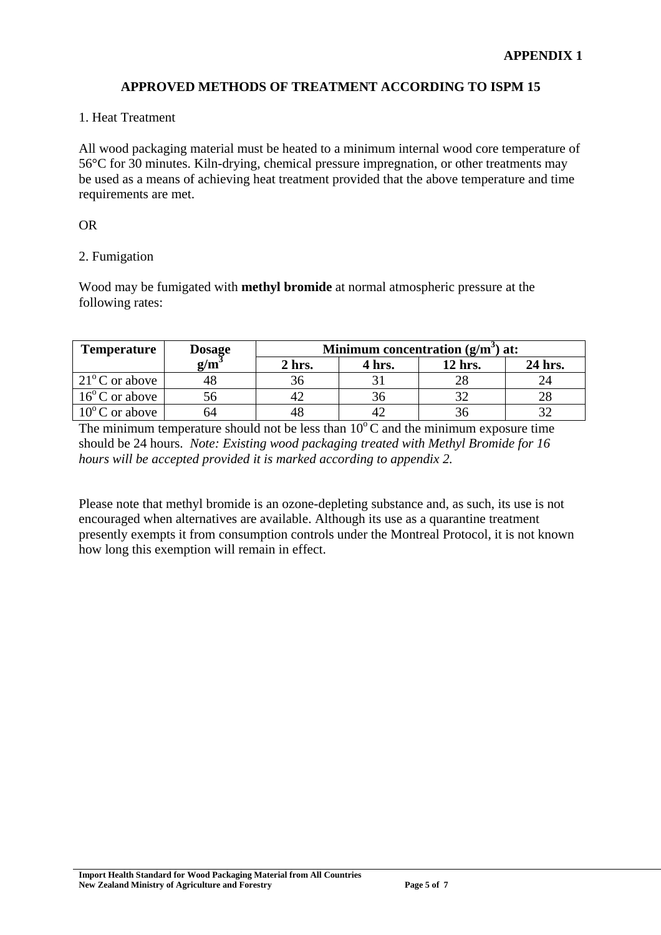#### **APPROVED METHODS OF TREATMENT ACCORDING TO ISPM 15**

#### 1. Heat Treatment

All wood packaging material must be heated to a minimum internal wood core temperature of 56°C for 30 minutes. Kiln-drying, chemical pressure impregnation, or other treatments may be used as a means of achieving heat treatment provided that the above temperature and time requirements are met.

#### OR

#### 2. Fumigation

Wood may be fumigated with **methyl bromide** at normal atmospheric pressure at the following rates:

| <b>Temperature</b>      | <b>Dosage</b> | Minimum concentration $(g/m^3)$ at: |        |         |         |
|-------------------------|---------------|-------------------------------------|--------|---------|---------|
|                         | $g/m^3$       | 2 hrs.                              | 4 hrs. | 12 hrs. | 24 hrs. |
| $21^{\circ}$ C or above |               | 36                                  |        |         |         |
| $16^{\circ}$ C or above |               | 4'                                  | 36     |         |         |
| $10^{\circ}$ C or above | h4            | 48                                  |        |         |         |

The minimum temperature should not be less than  $10^{\circ}$ C and the minimum exposure time should be 24 hours. *Note: Existing wood packaging treated with Methyl Bromide for 16 hours will be accepted provided it is marked according to appendix 2.* 

Please note that methyl bromide is an ozone-depleting substance and, as such, its use is not encouraged when alternatives are available. Although its use as a quarantine treatment presently exempts it from consumption controls under the Montreal Protocol, it is not known how long this exemption will remain in effect.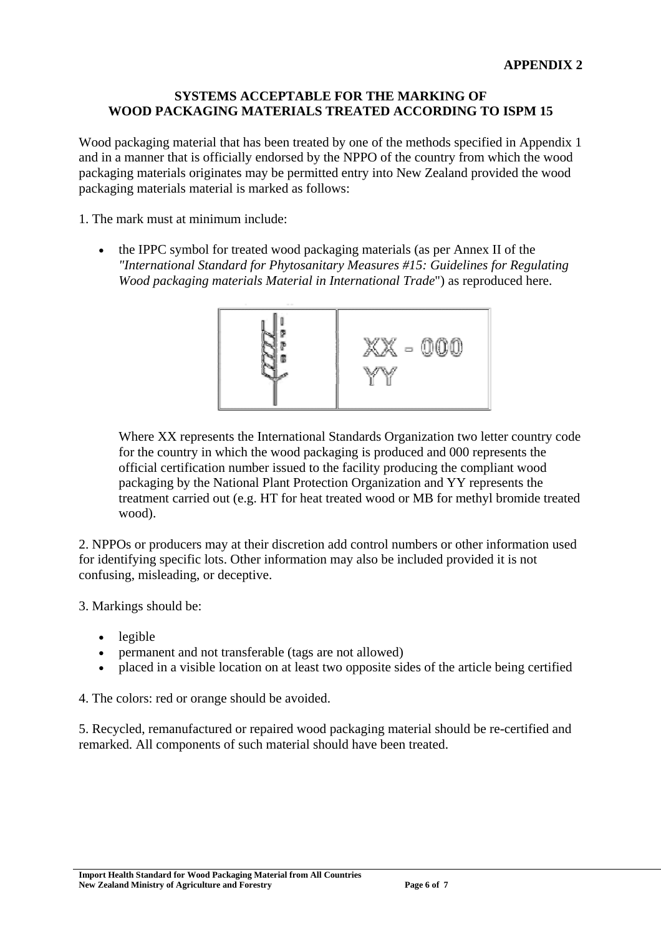#### **SYSTEMS ACCEPTABLE FOR THE MARKING OF WOOD PACKAGING MATERIALS TREATED ACCORDING TO ISPM 15**

Wood packaging material that has been treated by one of the methods specified in Appendix 1 and in a manner that is officially endorsed by the NPPO of the country from which the wood packaging materials originates may be permitted entry into New Zealand provided the wood packaging materials material is marked as follows:

1. The mark must at minimum include:

• the IPPC symbol for treated wood packaging materials (as per Annex II of the *"International Standard for Phytosanitary Measures #15: Guidelines for Regulating Wood packaging materials Material in International Trade*") as reproduced here.



Where XX represents the International Standards Organization two letter country code for the country in which the wood packaging is produced and 000 represents the official certification number issued to the facility producing the compliant wood packaging by the National Plant Protection Organization and YY represents the treatment carried out (e.g. HT for heat treated wood or MB for methyl bromide treated wood).

2. NPPOs or producers may at their discretion add control numbers or other information used for identifying specific lots. Other information may also be included provided it is not confusing, misleading, or deceptive.

- 3. Markings should be:
	- legible
	- permanent and not transferable (tags are not allowed)
	- placed in a visible location on at least two opposite sides of the article being certified

4. The colors: red or orange should be avoided.

5. Recycled, remanufactured or repaired wood packaging material should be re-certified and remarked. All components of such material should have been treated.